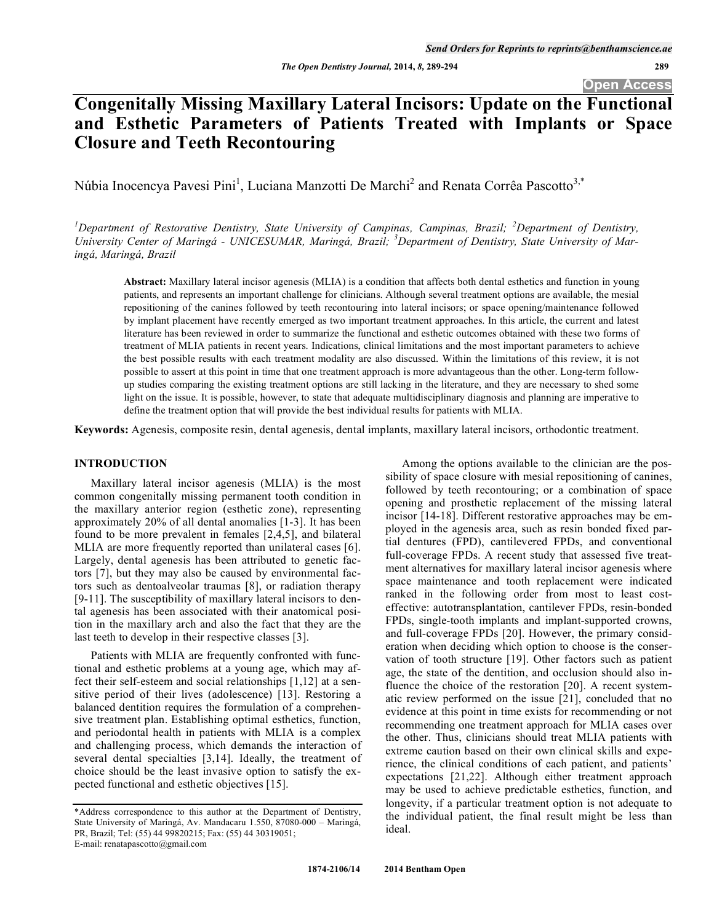# **Congenitally Missing Maxillary Lateral Incisors: Update on the Functional and Esthetic Parameters of Patients Treated with Implants or Space Closure and Teeth Recontouring**

Núbia Inocencya Pavesi Pini<sup>1</sup>, Luciana Manzotti De Marchi<sup>2</sup> and Renata Corrêa Pascotto<sup>3,\*</sup>

<sup>1</sup>Department of Restorative Dentistry, State University of Campinas, Campinas, Brazil; <sup>2</sup>Department of Dentistry, *University Center of Maringá - UNICESUMAR, Maringá, Brazil; <sup>3</sup> Department of Dentistry, State University of Maringá, Maringá, Brazil* 

**Abstract:** Maxillary lateral incisor agenesis (MLIA) is a condition that affects both dental esthetics and function in young patients, and represents an important challenge for clinicians. Although several treatment options are available, the mesial repositioning of the canines followed by teeth recontouring into lateral incisors; or space opening/maintenance followed by implant placement have recently emerged as two important treatment approaches. In this article, the current and latest literature has been reviewed in order to summarize the functional and esthetic outcomes obtained with these two forms of treatment of MLIA patients in recent years. Indications, clinical limitations and the most important parameters to achieve the best possible results with each treatment modality are also discussed. Within the limitations of this review, it is not possible to assert at this point in time that one treatment approach is more advantageous than the other. Long-term followup studies comparing the existing treatment options are still lacking in the literature, and they are necessary to shed some light on the issue. It is possible, however, to state that adequate multidisciplinary diagnosis and planning are imperative to define the treatment option that will provide the best individual results for patients with MLIA.

**Keywords:** Agenesis, composite resin, dental agenesis, dental implants, maxillary lateral incisors, orthodontic treatment.

# **INTRODUCTION**

Maxillary lateral incisor agenesis (MLIA) is the most common congenitally missing permanent tooth condition in the maxillary anterior region (esthetic zone), representing approximately 20% of all dental anomalies [1-3]. It has been found to be more prevalent in females [2,4,5], and bilateral MLIA are more frequently reported than unilateral cases [6]. Largely, dental agenesis has been attributed to genetic factors [7], but they may also be caused by environmental factors such as dentoalveolar traumas [8], or radiation therapy [9-11]. The susceptibility of maxillary lateral incisors to dental agenesis has been associated with their anatomical position in the maxillary arch and also the fact that they are the last teeth to develop in their respective classes [3].

Patients with MLIA are frequently confronted with functional and esthetic problems at a young age, which may affect their self-esteem and social relationships [1,12] at a sensitive period of their lives (adolescence) [13]. Restoring a balanced dentition requires the formulation of a comprehensive treatment plan. Establishing optimal esthetics, function, and periodontal health in patients with MLIA is a complex and challenging process, which demands the interaction of several dental specialties [3,14]. Ideally, the treatment of choice should be the least invasive option to satisfy the expected functional and esthetic objectives [15].

Among the options available to the clinician are the possibility of space closure with mesial repositioning of canines, followed by teeth recontouring; or a combination of space opening and prosthetic replacement of the missing lateral incisor [14-18]. Different restorative approaches may be employed in the agenesis area, such as resin bonded fixed partial dentures (FPD), cantilevered FPDs, and conventional full-coverage FPDs. A recent study that assessed five treatment alternatives for maxillary lateral incisor agenesis where space maintenance and tooth replacement were indicated ranked in the following order from most to least costeffective: autotransplantation, cantilever FPDs, resin-bonded FPDs, single-tooth implants and implant-supported crowns, and full-coverage FPDs [20]. However, the primary consideration when deciding which option to choose is the conservation of tooth structure [19]. Other factors such as patient age, the state of the dentition, and occlusion should also influence the choice of the restoration [20]. A recent systematic review performed on the issue [21], concluded that no evidence at this point in time exists for recommending or not recommending one treatment approach for MLIA cases over the other. Thus, clinicians should treat MLIA patients with extreme caution based on their own clinical skills and experience, the clinical conditions of each patient, and patients' expectations [21,22]. Although either treatment approach may be used to achieve predictable esthetics, function, and longevity, if a particular treatment option is not adequate to the individual patient, the final result might be less than ideal.

<sup>\*</sup>Address correspondence to this author at the Department of Dentistry, State University of Maringá, Av. Mandacaru 1.550, 87080-000 – Maringá, PR, Brazil; Tel: (55) 44 99820215; Fax: (55) 44 30319051; E-mail: renatapascotto@gmail.com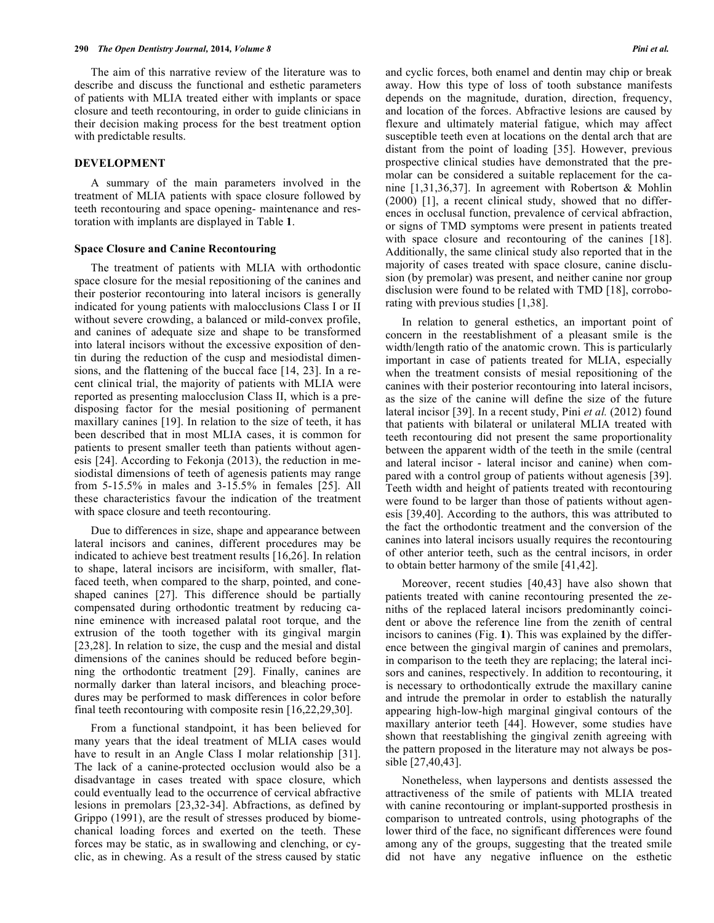The aim of this narrative review of the literature was to describe and discuss the functional and esthetic parameters of patients with MLIA treated either with implants or space closure and teeth recontouring, in order to guide clinicians in their decision making process for the best treatment option with predictable results.

#### **DEVELOPMENT**

A summary of the main parameters involved in the treatment of MLIA patients with space closure followed by teeth recontouring and space opening- maintenance and restoration with implants are displayed in Table **1**.

#### **Space Closure and Canine Recontouring**

The treatment of patients with MLIA with orthodontic space closure for the mesial repositioning of the canines and their posterior recontouring into lateral incisors is generally indicated for young patients with malocclusions Class I or II without severe crowding, a balanced or mild-convex profile, and canines of adequate size and shape to be transformed into lateral incisors without the excessive exposition of dentin during the reduction of the cusp and mesiodistal dimensions, and the flattening of the buccal face [14, 23]. In a recent clinical trial, the majority of patients with MLIA were reported as presenting malocclusion Class II, which is a predisposing factor for the mesial positioning of permanent maxillary canines [19]. In relation to the size of teeth, it has been described that in most MLIA cases, it is common for patients to present smaller teeth than patients without agenesis [24]. According to Fekonja (2013), the reduction in mesiodistal dimensions of teeth of agenesis patients may range from 5-15.5% in males and 3-15.5% in females [25]. All these characteristics favour the indication of the treatment with space closure and teeth recontouring.

Due to differences in size, shape and appearance between lateral incisors and canines, different procedures may be indicated to achieve best treatment results [16,26]. In relation to shape, lateral incisors are incisiform, with smaller, flatfaced teeth, when compared to the sharp, pointed, and coneshaped canines [27]. This difference should be partially compensated during orthodontic treatment by reducing canine eminence with increased palatal root torque, and the extrusion of the tooth together with its gingival margin [23,28]. In relation to size, the cusp and the mesial and distal dimensions of the canines should be reduced before beginning the orthodontic treatment [29]. Finally, canines are normally darker than lateral incisors, and bleaching procedures may be performed to mask differences in color before final teeth recontouring with composite resin [16,22,29,30].

From a functional standpoint, it has been believed for many years that the ideal treatment of MLIA cases would have to result in an Angle Class I molar relationship [31]. The lack of a canine-protected occlusion would also be a disadvantage in cases treated with space closure, which could eventually lead to the occurrence of cervical abfractive lesions in premolars [23,32-34]. Abfractions, as defined by Grippo (1991), are the result of stresses produced by biomechanical loading forces and exerted on the teeth. These forces may be static, as in swallowing and clenching, or cyclic, as in chewing. As a result of the stress caused by static and cyclic forces, both enamel and dentin may chip or break away. How this type of loss of tooth substance manifests depends on the magnitude, duration, direction, frequency, and location of the forces. Abfractive lesions are caused by flexure and ultimately material fatigue, which may affect susceptible teeth even at locations on the dental arch that are distant from the point of loading [35]. However, previous prospective clinical studies have demonstrated that the premolar can be considered a suitable replacement for the canine [1,31,36,37]. In agreement with Robertson & Mohlin (2000) [1], a recent clinical study, showed that no differences in occlusal function, prevalence of cervical abfraction, or signs of TMD symptoms were present in patients treated with space closure and recontouring of the canines [18]. Additionally, the same clinical study also reported that in the majority of cases treated with space closure, canine disclusion (by premolar) was present, and neither canine nor group disclusion were found to be related with TMD [18], corroborating with previous studies [1,38].

In relation to general esthetics, an important point of concern in the reestablishment of a pleasant smile is the width/length ratio of the anatomic crown. This is particularly important in case of patients treated for MLIA, especially when the treatment consists of mesial repositioning of the canines with their posterior recontouring into lateral incisors, as the size of the canine will define the size of the future lateral incisor [39]. In a recent study, Pini *et al.* (2012) found that patients with bilateral or unilateral MLIA treated with teeth recontouring did not present the same proportionality between the apparent width of the teeth in the smile (central and lateral incisor - lateral incisor and canine) when compared with a control group of patients without agenesis [39]. Teeth width and height of patients treated with recontouring were found to be larger than those of patients without agenesis [39,40]. According to the authors, this was attributed to the fact the orthodontic treatment and the conversion of the canines into lateral incisors usually requires the recontouring of other anterior teeth, such as the central incisors, in order to obtain better harmony of the smile [41,42].

Moreover, recent studies [40,43] have also shown that patients treated with canine recontouring presented the zeniths of the replaced lateral incisors predominantly coincident or above the reference line from the zenith of central incisors to canines (Fig. **1**). This was explained by the difference between the gingival margin of canines and premolars, in comparison to the teeth they are replacing; the lateral incisors and canines, respectively. In addition to recontouring, it is necessary to orthodontically extrude the maxillary canine and intrude the premolar in order to establish the naturally appearing high-low-high marginal gingival contours of the maxillary anterior teeth [44]. However, some studies have shown that reestablishing the gingival zenith agreeing with the pattern proposed in the literature may not always be possible [27,40,43].

Nonetheless, when laypersons and dentists assessed the attractiveness of the smile of patients with MLIA treated with canine recontouring or implant-supported prosthesis in comparison to untreated controls, using photographs of the lower third of the face, no significant differences were found among any of the groups, suggesting that the treated smile did not have any negative influence on the esthetic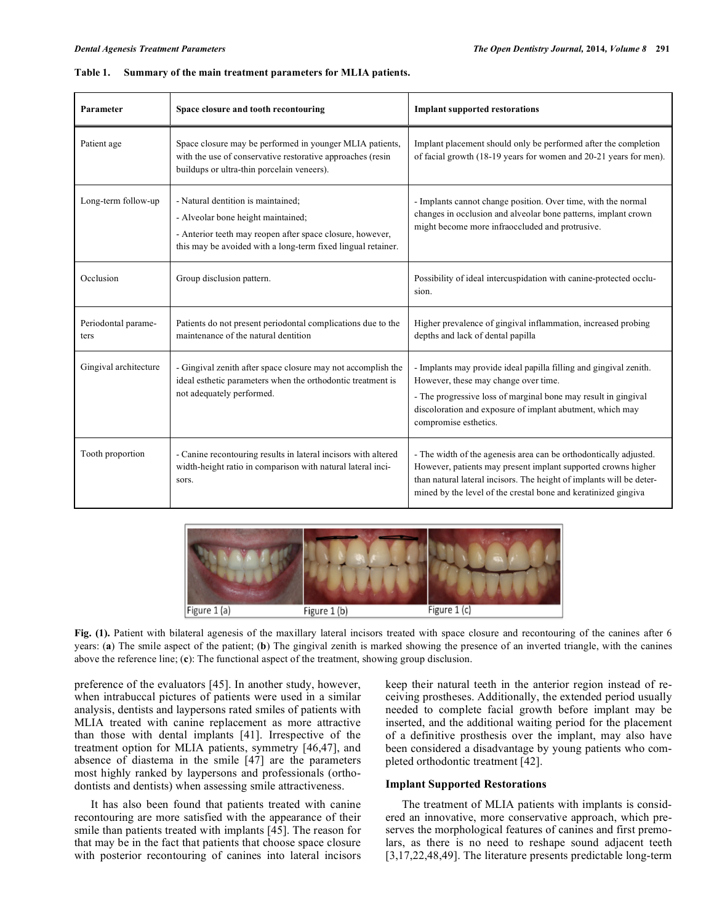| Parameter                   | Space closure and tooth recontouring                                                                                                                                                                  | <b>Implant supported restorations</b>                                                                                                                                                                                                                                        |  |
|-----------------------------|-------------------------------------------------------------------------------------------------------------------------------------------------------------------------------------------------------|------------------------------------------------------------------------------------------------------------------------------------------------------------------------------------------------------------------------------------------------------------------------------|--|
| Patient age                 | Space closure may be performed in younger MLIA patients,<br>with the use of conservative restorative approaches (resin<br>buildups or ultra-thin porcelain veneers).                                  | Implant placement should only be performed after the completion<br>of facial growth (18-19 years for women and 20-21 years for men).                                                                                                                                         |  |
| Long-term follow-up         | - Natural dentition is maintained;<br>- Alveolar bone height maintained;<br>- Anterior teeth may reopen after space closure, however,<br>this may be avoided with a long-term fixed lingual retainer. | - Implants cannot change position. Over time, with the normal<br>changes in occlusion and alveolar bone patterns, implant crown<br>might become more infraoccluded and protrusive.                                                                                           |  |
| Occlusion                   | Group disclusion pattern.                                                                                                                                                                             | Possibility of ideal intercuspidation with canine-protected occlu-<br>sion.                                                                                                                                                                                                  |  |
| Periodontal parame-<br>ters | Patients do not present periodontal complications due to the<br>maintenance of the natural dentition                                                                                                  | Higher prevalence of gingival inflammation, increased probing<br>depths and lack of dental papilla                                                                                                                                                                           |  |
| Gingival architecture       | - Gingival zenith after space closure may not accomplish the<br>ideal esthetic parameters when the orthodontic treatment is<br>not adequately performed.                                              | - Implants may provide ideal papilla filling and gingival zenith.<br>However, these may change over time.<br>- The progressive loss of marginal bone may result in gingival<br>discoloration and exposure of implant abutment, which may<br>compromise esthetics.            |  |
| Tooth proportion            | - Canine recontouring results in lateral incisors with altered<br>width-height ratio in comparison with natural lateral inci-<br>sors.                                                                | - The width of the agenesis area can be orthodontically adjusted.<br>However, patients may present implant supported crowns higher<br>than natural lateral incisors. The height of implants will be deter-<br>mined by the level of the crestal bone and keratinized gingiva |  |

| Table 1. | Summary of the main treatment parameters for MLIA patients. |  |
|----------|-------------------------------------------------------------|--|
|          |                                                             |  |



**Fig. (1).** Patient with bilateral agenesis of the maxillary lateral incisors treated with space closure and recontouring of the canines after 6 years: (**a**) The smile aspect of the patient; (**b**) The gingival zenith is marked showing the presence of an inverted triangle, with the canines above the reference line; (**c**): The functional aspect of the treatment, showing group disclusion.

preference of the evaluators [45]. In another study, however, when intrabuccal pictures of patients were used in a similar analysis, dentists and laypersons rated smiles of patients with MLIA treated with canine replacement as more attractive than those with dental implants [41]. Irrespective of the treatment option for MLIA patients, symmetry [46,47], and absence of diastema in the smile [47] are the parameters most highly ranked by laypersons and professionals (orthodontists and dentists) when assessing smile attractiveness.

It has also been found that patients treated with canine recontouring are more satisfied with the appearance of their smile than patients treated with implants [45]. The reason for that may be in the fact that patients that choose space closure with posterior recontouring of canines into lateral incisors keep their natural teeth in the anterior region instead of receiving prostheses. Additionally, the extended period usually needed to complete facial growth before implant may be inserted, and the additional waiting period for the placement of a definitive prosthesis over the implant, may also have been considered a disadvantage by young patients who completed orthodontic treatment [42].

### **Implant Supported Restorations**

The treatment of MLIA patients with implants is considered an innovative, more conservative approach, which preserves the morphological features of canines and first premolars, as there is no need to reshape sound adjacent teeth [3,17,22,48,49]. The literature presents predictable long-term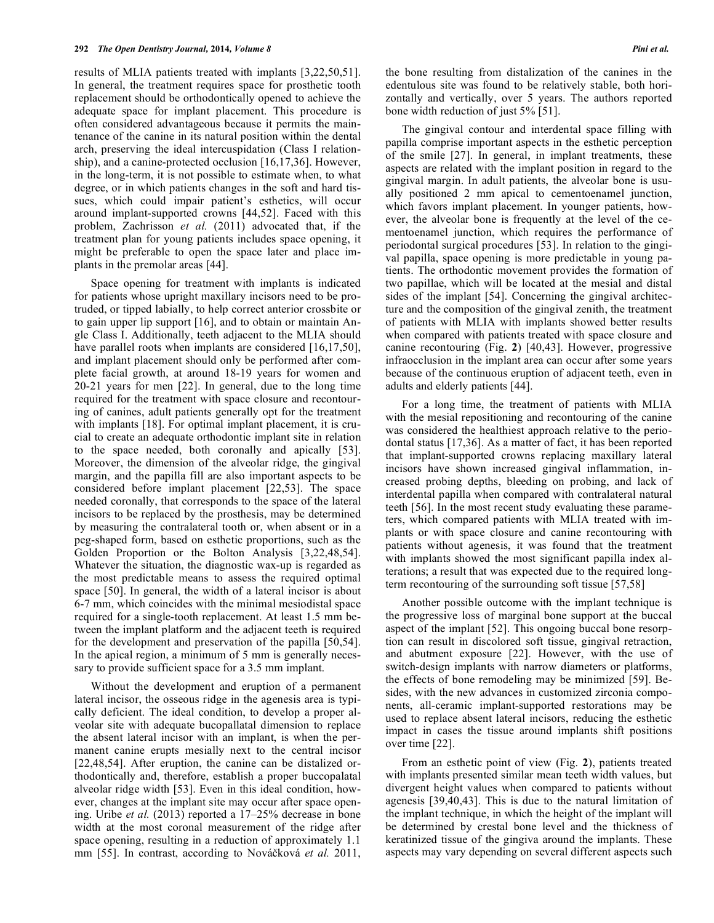results of MLIA patients treated with implants [3,22,50,51]. In general, the treatment requires space for prosthetic tooth replacement should be orthodontically opened to achieve the adequate space for implant placement. This procedure is often considered advantageous because it permits the maintenance of the canine in its natural position within the dental arch, preserving the ideal intercuspidation (Class I relationship), and a canine-protected occlusion [16,17,36]. However, in the long-term, it is not possible to estimate when, to what degree, or in which patients changes in the soft and hard tissues, which could impair patient's esthetics, will occur around implant-supported crowns [44,52]. Faced with this problem, Zachrisson *et al.* (2011) advocated that, if the treatment plan for young patients includes space opening, it might be preferable to open the space later and place implants in the premolar areas [44].

Space opening for treatment with implants is indicated for patients whose upright maxillary incisors need to be protruded, or tipped labially, to help correct anterior crossbite or to gain upper lip support [16], and to obtain or maintain Angle Class I. Additionally, teeth adjacent to the MLIA should have parallel roots when implants are considered [16,17,50], and implant placement should only be performed after complete facial growth, at around 18-19 years for women and 20-21 years for men [22]. In general, due to the long time required for the treatment with space closure and recontouring of canines, adult patients generally opt for the treatment with implants [18]. For optimal implant placement, it is crucial to create an adequate orthodontic implant site in relation to the space needed, both coronally and apically [53]. Moreover, the dimension of the alveolar ridge, the gingival margin, and the papilla fill are also important aspects to be considered before implant placement [22,53]. The space needed coronally, that corresponds to the space of the lateral incisors to be replaced by the prosthesis, may be determined by measuring the contralateral tooth or, when absent or in a peg-shaped form, based on esthetic proportions, such as the Golden Proportion or the Bolton Analysis [3,22,48,54]. Whatever the situation, the diagnostic wax-up is regarded as the most predictable means to assess the required optimal space [50]. In general, the width of a lateral incisor is about 6-7 mm, which coincides with the minimal mesiodistal space required for a single-tooth replacement. At least 1.5 mm between the implant platform and the adjacent teeth is required for the development and preservation of the papilla [50,54]. In the apical region, a minimum of 5 mm is generally necessary to provide sufficient space for a 3.5 mm implant.

Without the development and eruption of a permanent lateral incisor, the osseous ridge in the agenesis area is typically deficient. The ideal condition, to develop a proper alveolar site with adequate bucopallatal dimension to replace the absent lateral incisor with an implant, is when the permanent canine erupts mesially next to the central incisor [22,48,54]. After eruption, the canine can be distalized orthodontically and, therefore, establish a proper buccopalatal alveolar ridge width [53]. Even in this ideal condition, however, changes at the implant site may occur after space opening. Uribe *et al.* (2013) reported a 17–25% decrease in bone width at the most coronal measurement of the ridge after space opening, resulting in a reduction of approximately 1.1 mm [55]. In contrast, according to Nováková *et al.* 2011, the bone resulting from distalization of the canines in the edentulous site was found to be relatively stable, both horizontally and vertically, over 5 years. The authors reported bone width reduction of just 5% [51].

The gingival contour and interdental space filling with papilla comprise important aspects in the esthetic perception of the smile [27]. In general, in implant treatments, these aspects are related with the implant position in regard to the gingival margin. In adult patients, the alveolar bone is usually positioned 2 mm apical to cementoenamel junction, which favors implant placement. In younger patients, however, the alveolar bone is frequently at the level of the cementoenamel junction, which requires the performance of periodontal surgical procedures [53]. In relation to the gingival papilla, space opening is more predictable in young patients. The orthodontic movement provides the formation of two papillae, which will be located at the mesial and distal sides of the implant [54]. Concerning the gingival architecture and the composition of the gingival zenith, the treatment of patients with MLIA with implants showed better results when compared with patients treated with space closure and canine recontouring (Fig. **2**) [40,43]. However, progressive infraocclusion in the implant area can occur after some years because of the continuous eruption of adjacent teeth, even in adults and elderly patients [44].

For a long time, the treatment of patients with MLIA with the mesial repositioning and recontouring of the canine was considered the healthiest approach relative to the periodontal status [17,36]. As a matter of fact, it has been reported that implant-supported crowns replacing maxillary lateral incisors have shown increased gingival inflammation, increased probing depths, bleeding on probing, and lack of interdental papilla when compared with contralateral natural teeth [56]. In the most recent study evaluating these parameters, which compared patients with MLIA treated with implants or with space closure and canine recontouring with patients without agenesis, it was found that the treatment with implants showed the most significant papilla index alterations; a result that was expected due to the required longterm recontouring of the surrounding soft tissue [57,58]

Another possible outcome with the implant technique is the progressive loss of marginal bone support at the buccal aspect of the implant [52]. This ongoing buccal bone resorption can result in discolored soft tissue, gingival retraction, and abutment exposure [22]. However, with the use of switch-design implants with narrow diameters or platforms, the effects of bone remodeling may be minimized [59]. Besides, with the new advances in customized zirconia components, all-ceramic implant-supported restorations may be used to replace absent lateral incisors, reducing the esthetic impact in cases the tissue around implants shift positions over time [22].

From an esthetic point of view (Fig. **2**), patients treated with implants presented similar mean teeth width values, but divergent height values when compared to patients without agenesis [39,40,43]. This is due to the natural limitation of the implant technique, in which the height of the implant will be determined by crestal bone level and the thickness of keratinized tissue of the gingiva around the implants. These aspects may vary depending on several different aspects such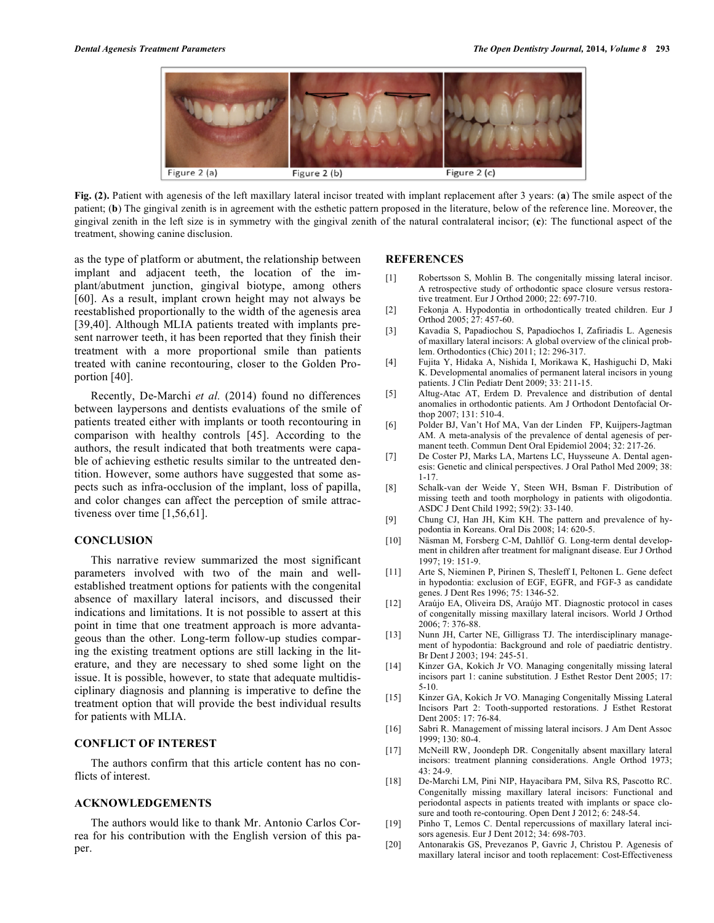

**Fig. (2).** Patient with agenesis of the left maxillary lateral incisor treated with implant replacement after 3 years: (**a**) The smile aspect of the patient; (**b**) The gingival zenith is in agreement with the esthetic pattern proposed in the literature, below of the reference line. Moreover, the gingival zenith in the left size is in symmetry with the gingival zenith of the natural contralateral incisor; (**c**): The functional aspect of the treatment, showing canine disclusion.

as the type of platform or abutment, the relationship between implant and adjacent teeth, the location of the implant/abutment junction, gingival biotype, among others [60]. As a result, implant crown height may not always be reestablished proportionally to the width of the agenesis area [39,40]. Although MLIA patients treated with implants present narrower teeth, it has been reported that they finish their treatment with a more proportional smile than patients treated with canine recontouring, closer to the Golden Proportion [40].

Recently, De-Marchi *et al.* (2014) found no differences between laypersons and dentists evaluations of the smile of patients treated either with implants or tooth recontouring in comparison with healthy controls [45]. According to the authors, the result indicated that both treatments were capable of achieving esthetic results similar to the untreated dentition. However, some authors have suggested that some aspects such as infra-occlusion of the implant, loss of papilla, and color changes can affect the perception of smile attractiveness over time [1,56,61].

## **CONCLUSION**

This narrative review summarized the most significant parameters involved with two of the main and wellestablished treatment options for patients with the congenital absence of maxillary lateral incisors, and discussed their indications and limitations. It is not possible to assert at this point in time that one treatment approach is more advantageous than the other. Long-term follow-up studies comparing the existing treatment options are still lacking in the literature, and they are necessary to shed some light on the issue. It is possible, however, to state that adequate multidisciplinary diagnosis and planning is imperative to define the treatment option that will provide the best individual results for patients with MLIA.

### **CONFLICT OF INTEREST**

The authors confirm that this article content has no conflicts of interest.

#### **ACKNOWLEDGEMENTS**

The authors would like to thank Mr. Antonio Carlos Correa for his contribution with the English version of this paper.

#### **REFERENCES**

- [1] Robertsson S, Mohlin B. The congenitally missing lateral incisor. A retrospective study of orthodontic space closure versus restorative treatment. Eur J Orthod 2000; 22: 697-710.
- [2] Fekonja A. Hypodontia in orthodontically treated children. Eur J Orthod 2005; 27: 457-60.
- [3] Kavadia S, Papadiochou S, Papadiochos I, Zafiriadis L. Agenesis of maxillary lateral incisors: A global overview of the clinical problem. Orthodontics (Chic) 2011; 12: 296-317.
- [4] Fujita Y, Hidaka A, Nishida I, Morikawa K, Hashiguchi D, Maki K. Developmental anomalies of permanent lateral incisors in young patients. J Clin Pediatr Dent 2009; 33: 211-15.
- [5] Altug-Atac AT, Erdem D. Prevalence and distribution of dental anomalies in orthodontic patients. Am J Orthodont Dentofacial Orthop 2007; 131: 510-4.
- [6] Polder BJ, Van't Hof MA, Van der Linden FP, Kuijpers-Jagtman AM. A meta-analysis of the prevalence of dental agenesis of permanent teeth. Commun Dent Oral Epidemiol 2004; 32: 217-26.
- [7] De Coster PJ, Marks LA, Martens LC, Huysseune A. Dental agenesis: Genetic and clinical perspectives. J Oral Pathol Med 2009; 38: 1-17.
- [8] Schalk-van der Weide Y, Steen WH, Bsman F. Distribution of missing teeth and tooth morphology in patients with oligodontia. ASDC J Dent Child 1992; 59(2): 33-140.
- [9] Chung CJ, Han JH, Kim KH. The pattern and prevalence of hypodontia in Koreans. Oral Dis 2008; 14: 620-5.
- [10] Näsman M, Forsberg C-M, Dahllöf G. Long-term dental development in children after treatment for malignant disease. Eur J Orthod 1997; 19: 151-9.
- [11] Arte S, Nieminen P, Pirinen S, Thesleff I, Peltonen L. Gene defect in hypodontia: exclusion of EGF, EGFR, and FGF-3 as candidate genes. J Dent Res 1996; 75: 1346-52.
- [12] Araújo EA, Oliveira DS, Araújo MT. Diagnostic protocol in cases of congenitally missing maxillary lateral incisors. World J Orthod 2006; 7: 376-88.
- [13] Nunn JH, Carter NE, Gilligrass TJ. The interdisciplinary management of hypodontia: Background and role of paediatric dentistry. Br Dent J 2003; 194: 245-51.
- [14] Kinzer GA, Kokich Jr VO. Managing congenitally missing lateral incisors part 1: canine substitution. J Esthet Restor Dent 2005; 17: 5-10.
- [15] Kinzer GA, Kokich Jr VO. Managing Congenitally Missing Lateral Incisors Part 2: Tooth-supported restorations. J Esthet Restorat Dent 2005: 17: 76-84.
- [16] Sabri R. Management of missing lateral incisors. J Am Dent Assoc 1999; 130: 80-4.
- [17] McNeill RW, Joondeph DR. Congenitally absent maxillary lateral incisors: treatment planning considerations. Angle Orthod 1973; 43: 24-9.
- [18] De-Marchi LM, Pini NIP, Hayacibara PM, Silva RS, Pascotto RC. Congenitally missing maxillary lateral incisors: Functional and periodontal aspects in patients treated with implants or space closure and tooth re-contouring. Open Dent J 2012; 6: 248-54.
- [19] Pinho T, Lemos C. Dental repercussions of maxillary lateral incisors agenesis. Eur J Dent 2012; 34: 698-703.
- [20] Antonarakis GS, Prevezanos P, Gavric J, Christou P. Agenesis of maxillary lateral incisor and tooth replacement: Cost-Effectiveness